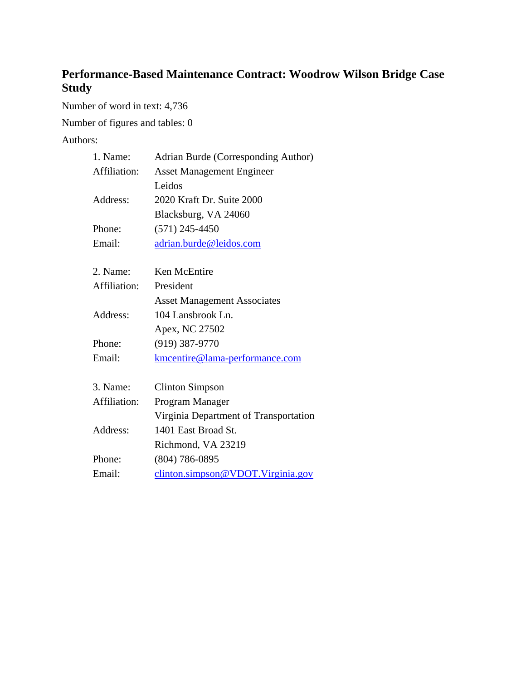# **Performance-Based Maintenance Contract: Woodrow Wilson Bridge Case Study**

Number of word in text: 4,736

Number of figures and tables: 0

Authors:

| 1. Name:     | Adrian Burde (Corresponding Author)   |
|--------------|---------------------------------------|
| Affiliation: | <b>Asset Management Engineer</b>      |
|              | Leidos                                |
| Address:     | 2020 Kraft Dr. Suite 2000             |
|              | Blacksburg, VA 24060                  |
| Phone:       | $(571)$ 245-4450                      |
| Email:       | adrian.burde@leidos.com               |
|              |                                       |
| 2. Name:     | Ken McEntire                          |
| Affiliation: | President                             |
|              | <b>Asset Management Associates</b>    |
| Address:     | 104 Lansbrook Ln.                     |
|              | Apex, NC 27502                        |
| Phone:       | $(919)$ 387-9770                      |
| Email:       | kmcentire@lama-performance.com        |
|              |                                       |
| 3. Name:     | <b>Clinton Simpson</b>                |
| Affiliation: | Program Manager                       |
|              | Virginia Department of Transportation |
| Address:     | 1401 East Broad St.                   |
|              | Richmond, VA 23219                    |
| Phone:       | $(804)$ 786-0895                      |
| Email:       | clinton.simpson@VDOT.Virginia.gov     |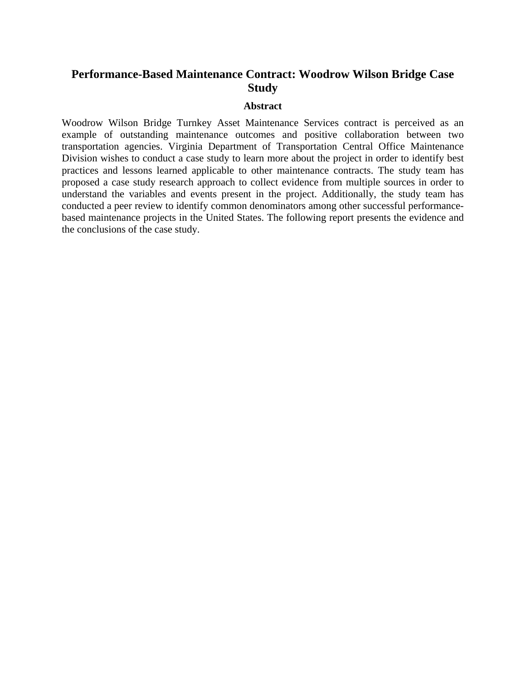## **Performance-Based Maintenance Contract: Woodrow Wilson Bridge Case Study**

#### **Abstract**

Woodrow Wilson Bridge Turnkey Asset Maintenance Services contract is perceived as an example of outstanding maintenance outcomes and positive collaboration between two transportation agencies. Virginia Department of Transportation Central Office Maintenance Division wishes to conduct a case study to learn more about the project in order to identify best practices and lessons learned applicable to other maintenance contracts. The study team has proposed a case study research approach to collect evidence from multiple sources in order to understand the variables and events present in the project. Additionally, the study team has conducted a peer review to identify common denominators among other successful performancebased maintenance projects in the United States. The following report presents the evidence and the conclusions of the case study.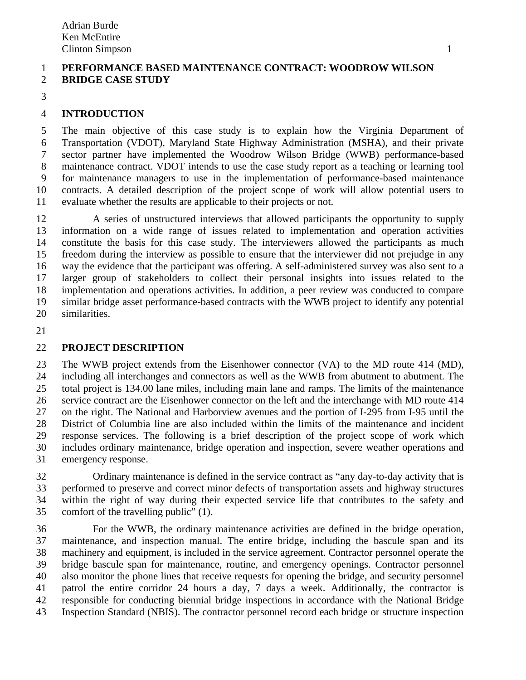### 1 **PERFORMANCE BASED MAINTENANCE CONTRACT: WOODROW WILSON**  2 **BRIDGE CASE STUDY**

3

## 4 **INTRODUCTION**

5 The main objective of this case study is to explain how the Virginia Department of 6 Transportation (VDOT), Maryland State Highway Administration (MSHA), and their private 7 sector partner have implemented the Woodrow Wilson Bridge (WWB) performance-based 8 maintenance contract. VDOT intends to use the case study report as a teaching or learning tool 9 for maintenance managers to use in the implementation of performance-based maintenance 10 contracts. A detailed description of the project scope of work will allow potential users to 11 evaluate whether the results are applicable to their projects or not.

12 A series of unstructured interviews that allowed participants the opportunity to supply 13 information on a wide range of issues related to implementation and operation activities 14 constitute the basis for this case study. The interviewers allowed the participants as much 15 freedom during the interview as possible to ensure that the interviewer did not prejudge in any 16 way the evidence that the participant was offering. A self-administered survey was also sent to a 17 larger group of stakeholders to collect their personal insights into issues related to the 18 implementation and operations activities. In addition, a peer review was conducted to compare 19 similar bridge asset performance-based contracts with the WWB project to identify any potential 20 similarities.

21

### 22 **PROJECT DESCRIPTION**

23 The WWB project extends from the Eisenhower connector (VA) to the MD route 414 (MD), 24 including all interchanges and connectors as well as the WWB from abutment to abutment. The 25 total project is 134.00 lane miles, including main lane and ramps. The limits of the maintenance 26 service contract are the Eisenhower connector on the left and the interchange with MD route 414 27 on the right. The National and Harborview avenues and the portion of I-295 from I-95 until the 28 District of Columbia line are also included within the limits of the maintenance and incident 29 response services. The following is a brief description of the project scope of work which 30 includes ordinary maintenance, bridge operation and inspection, severe weather operations and 31 emergency response.

32 Ordinary maintenance is defined in the service contract as "any day-to-day activity that is 33 performed to preserve and correct minor defects of transportation assets and highway structures 34 within the right of way during their expected service life that contributes to the safety and 35 comfort of the travelling public" (1).

36 For the WWB, the ordinary maintenance activities are defined in the bridge operation, 37 maintenance, and inspection manual. The entire bridge, including the bascule span and its 38 machinery and equipment, is included in the service agreement. Contractor personnel operate the 39 bridge bascule span for maintenance, routine, and emergency openings. Contractor personnel 40 also monitor the phone lines that receive requests for opening the bridge, and security personnel 41 patrol the entire corridor 24 hours a day, 7 days a week. Additionally, the contractor is 42 responsible for conducting biennial bridge inspections in accordance with the National Bridge 43 Inspection Standard (NBIS). The contractor personnel record each bridge or structure inspection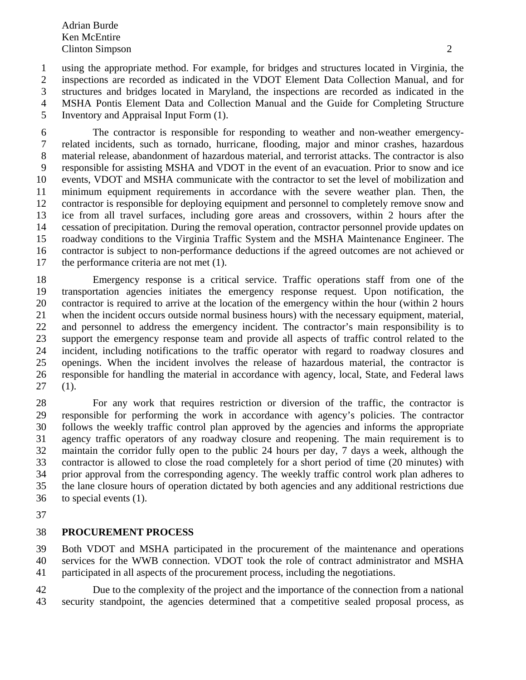1 using the appropriate method. For example, for bridges and structures located in Virginia, the 2 inspections are recorded as indicated in the VDOT Element Data Collection Manual, and for 3 structures and bridges located in Maryland, the inspections are recorded as indicated in the 4 MSHA Pontis Element Data and Collection Manual and the Guide for Completing Structure 5 Inventory and Appraisal Input Form (1).

6 The contractor is responsible for responding to weather and non-weather emergency-7 related incidents, such as tornado, hurricane, flooding, major and minor crashes, hazardous 8 material release, abandonment of hazardous material, and terrorist attacks. The contractor is also 9 responsible for assisting MSHA and VDOT in the event of an evacuation. Prior to snow and ice 10 events, VDOT and MSHA communicate with the contractor to set the level of mobilization and 11 minimum equipment requirements in accordance with the severe weather plan. Then, the 12 contractor is responsible for deploying equipment and personnel to completely remove snow and 13 ice from all travel surfaces, including gore areas and crossovers, within 2 hours after the 14 cessation of precipitation. During the removal operation, contractor personnel provide updates on 15 roadway conditions to the Virginia Traffic System and the MSHA Maintenance Engineer. The 16 contractor is subject to non-performance deductions if the agreed outcomes are not achieved or 17 the performance criteria are not met (1).

18 Emergency response is a critical service. Traffic operations staff from one of the 19 transportation agencies initiates the emergency response request. Upon notification, the 20 contractor is required to arrive at the location of the emergency within the hour (within 2 hours 21 when the incident occurs outside normal business hours) with the necessary equipment, material, 22 and personnel to address the emergency incident. The contractor's main responsibility is to 23 support the emergency response team and provide all aspects of traffic control related to the 24 incident, including notifications to the traffic operator with regard to roadway closures and 25 openings. When the incident involves the release of hazardous material, the contractor is 26 responsible for handling the material in accordance with agency, local, State, and Federal laws 27 (1).

28 For any work that requires restriction or diversion of the traffic, the contractor is 29 responsible for performing the work in accordance with agency's policies. The contractor 30 follows the weekly traffic control plan approved by the agencies and informs the appropriate 31 agency traffic operators of any roadway closure and reopening. The main requirement is to 32 maintain the corridor fully open to the public 24 hours per day, 7 days a week, although the 33 contractor is allowed to close the road completely for a short period of time (20 minutes) with 34 prior approval from the corresponding agency. The weekly traffic control work plan adheres to 35 the lane closure hours of operation dictated by both agencies and any additional restrictions due 36 to special events (1).

37

### 38 **PROCUREMENT PROCESS**

39 Both VDOT and MSHA participated in the procurement of the maintenance and operations 40 services for the WWB connection. VDOT took the role of contract administrator and MSHA 41 participated in all aspects of the procurement process, including the negotiations.

42 Due to the complexity of the project and the importance of the connection from a national 43 security standpoint, the agencies determined that a competitive sealed proposal process, as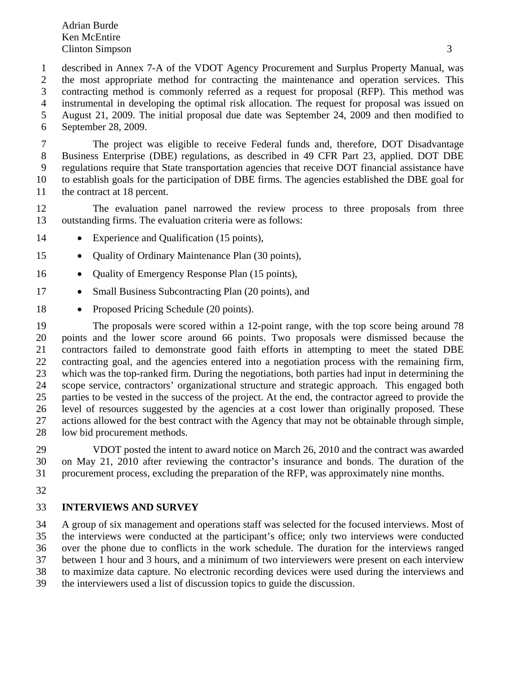1 described in Annex 7-A of the VDOT Agency Procurement and Surplus Property Manual, was 2 the most appropriate method for contracting the maintenance and operation services. This 3 contracting method is commonly referred as a request for proposal (RFP). This method was 4 instrumental in developing the optimal risk allocation. The request for proposal was issued on 5 August 21, 2009. The initial proposal due date was September 24, 2009 and then modified to 6 September 28, 2009.

7 The project was eligible to receive Federal funds and, therefore, DOT Disadvantage 8 Business Enterprise (DBE) regulations, as described in 49 CFR Part 23, applied. DOT DBE 9 regulations require that State transportation agencies that receive DOT financial assistance have 10 to establish goals for the participation of DBE firms. The agencies established the DBE goal for 11 the contract at 18 percent.

12 The evaluation panel narrowed the review process to three proposals from three 13 outstanding firms. The evaluation criteria were as follows:

- 14 Experience and Qualification (15 points),
- 15 **•** Quality of Ordinary Maintenance Plan (30 points),
- 16 **•** Quality of Emergency Response Plan (15 points),
- 17 Small Business Subcontracting Plan (20 points), and
- 18 Proposed Pricing Schedule (20 points).

19 The proposals were scored within a 12-point range, with the top score being around 78 20 points and the lower score around 66 points. Two proposals were dismissed because the 21 contractors failed to demonstrate good faith efforts in attempting to meet the stated DBE 22 contracting goal, and the agencies entered into a negotiation process with the remaining firm, 23 which was the top-ranked firm. During the negotiations, both parties had input in determining the 24 scope service, contractors' organizational structure and strategic approach. This engaged both 25 parties to be vested in the success of the project. At the end, the contractor agreed to provide the 26 level of resources suggested by the agencies at a cost lower than originally proposed. These 27 actions allowed for the best contract with the Agency that may not be obtainable through simple, 28 low bid procurement methods.

29 VDOT posted the intent to award notice on March 26, 2010 and the contract was awarded 30 on May 21, 2010 after reviewing the contractor's insurance and bonds. The duration of the 31 procurement process, excluding the preparation of the RFP, was approximately nine months.

32

#### 33 **INTERVIEWS AND SURVEY**

34 A group of six management and operations staff was selected for the focused interviews. Most of 35 the interviews were conducted at the participant's office; only two interviews were conducted 36 over the phone due to conflicts in the work schedule. The duration for the interviews ranged 37 between 1 hour and 3 hours, and a minimum of two interviewers were present on each interview 38 to maximize data capture. No electronic recording devices were used during the interviews and 39 the interviewers used a list of discussion topics to guide the discussion.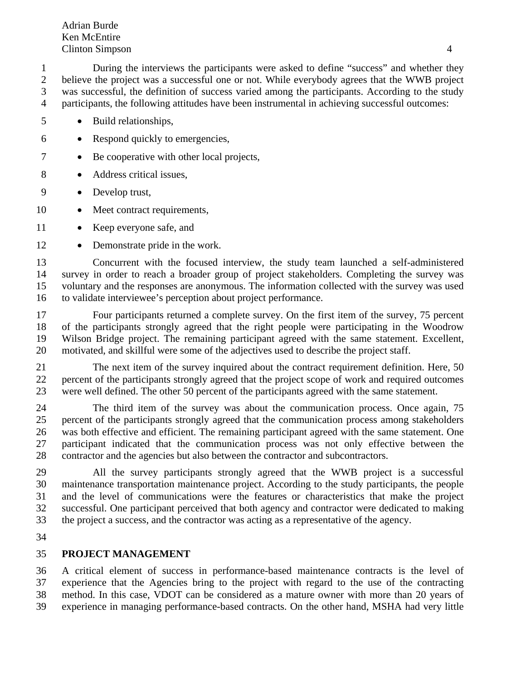1 During the interviews the participants were asked to define "success" and whether they 2 believe the project was a successful one or not. While everybody agrees that the WWB project 3 was successful, the definition of success varied among the participants. According to the study 4 participants, the following attitudes have been instrumental in achieving successful outcomes:

- 5 Build relationships,
- 6 Respond quickly to emergencies,
- 7 Be cooperative with other local projects,
- 8 Address critical issues,
- 9 Develop trust,
- 10 Meet contract requirements,
- 11 Keep everyone safe, and
- 12 Demonstrate pride in the work.

13 Concurrent with the focused interview, the study team launched a self-administered 14 survey in order to reach a broader group of project stakeholders. Completing the survey was 15 voluntary and the responses are anonymous. The information collected with the survey was used 16 to validate interviewee's perception about project performance.

17 Four participants returned a complete survey. On the first item of the survey, 75 percent 18 of the participants strongly agreed that the right people were participating in the Woodrow 19 Wilson Bridge project. The remaining participant agreed with the same statement. Excellent, 20 motivated, and skillful were some of the adjectives used to describe the project staff.

21 The next item of the survey inquired about the contract requirement definition. Here, 50 22 percent of the participants strongly agreed that the project scope of work and required outcomes 23 were well defined. The other 50 percent of the participants agreed with the same statement.

24 The third item of the survey was about the communication process. Once again, 75 25 percent of the participants strongly agreed that the communication process among stakeholders 26 was both effective and efficient. The remaining participant agreed with the same statement. One 27 participant indicated that the communication process was not only effective between the 28 contractor and the agencies but also between the contractor and subcontractors.

29 All the survey participants strongly agreed that the WWB project is a successful 30 maintenance transportation maintenance project. According to the study participants, the people 31 and the level of communications were the features or characteristics that make the project 32 successful. One participant perceived that both agency and contractor were dedicated to making 33 the project a success, and the contractor was acting as a representative of the agency.

34

## 35 **PROJECT MANAGEMENT**

36 A critical element of success in performance-based maintenance contracts is the level of 37 experience that the Agencies bring to the project with regard to the use of the contracting 38 method. In this case, VDOT can be considered as a mature owner with more than 20 years of 39 experience in managing performance-based contracts. On the other hand, MSHA had very little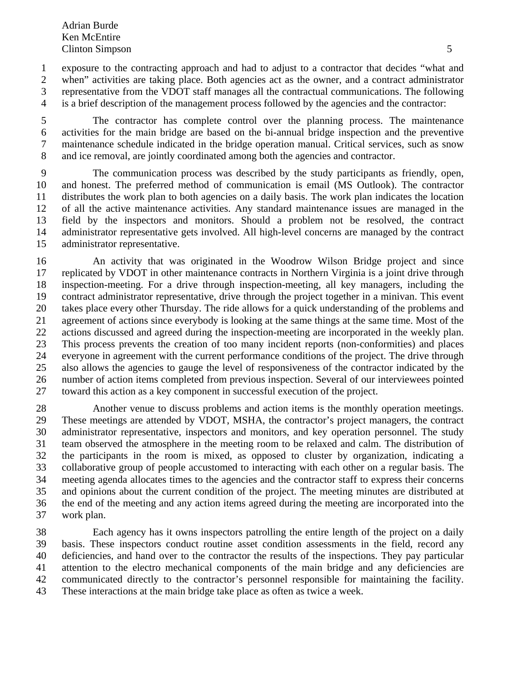1 exposure to the contracting approach and had to adjust to a contractor that decides "what and 2 when" activities are taking place. Both agencies act as the owner, and a contract administrator 3 representative from the VDOT staff manages all the contractual communications. The following 4 is a brief description of the management process followed by the agencies and the contractor:

5 The contractor has complete control over the planning process. The maintenance 6 activities for the main bridge are based on the bi-annual bridge inspection and the preventive 7 maintenance schedule indicated in the bridge operation manual. Critical services, such as snow 8 and ice removal, are jointly coordinated among both the agencies and contractor.

9 The communication process was described by the study participants as friendly, open, 10 and honest. The preferred method of communication is email (MS Outlook). The contractor 11 distributes the work plan to both agencies on a daily basis. The work plan indicates the location 12 of all the active maintenance activities. Any standard maintenance issues are managed in the 13 field by the inspectors and monitors. Should a problem not be resolved, the contract 14 administrator representative gets involved. All high-level concerns are managed by the contract 15 administrator representative.

16 An activity that was originated in the Woodrow Wilson Bridge project and since 17 replicated by VDOT in other maintenance contracts in Northern Virginia is a joint drive through 18 inspection-meeting. For a drive through inspection-meeting, all key managers, including the 19 contract administrator representative, drive through the project together in a minivan. This event 20 takes place every other Thursday. The ride allows for a quick understanding of the problems and 21 agreement of actions since everybody is looking at the same things at the same time. Most of the 22 actions discussed and agreed during the inspection-meeting are incorporated in the weekly plan. 23 This process prevents the creation of too many incident reports (non-conformities) and places 24 everyone in agreement with the current performance conditions of the project. The drive through 25 also allows the agencies to gauge the level of responsiveness of the contractor indicated by the 26 number of action items completed from previous inspection. Several of our interviewees pointed 27 toward this action as a key component in successful execution of the project.

28 Another venue to discuss problems and action items is the monthly operation meetings. 29 These meetings are attended by VDOT, MSHA, the contractor's project managers, the contract 30 administrator representative, inspectors and monitors, and key operation personnel. The study 31 team observed the atmosphere in the meeting room to be relaxed and calm. The distribution of 32 the participants in the room is mixed, as opposed to cluster by organization, indicating a 33 collaborative group of people accustomed to interacting with each other on a regular basis. The 34 meeting agenda allocates times to the agencies and the contractor staff to express their concerns 35 and opinions about the current condition of the project. The meeting minutes are distributed at 36 the end of the meeting and any action items agreed during the meeting are incorporated into the 37 work plan.

38 Each agency has it owns inspectors patrolling the entire length of the project on a daily 39 basis. These inspectors conduct routine asset condition assessments in the field, record any 40 deficiencies, and hand over to the contractor the results of the inspections. They pay particular 41 attention to the electro mechanical components of the main bridge and any deficiencies are 42 communicated directly to the contractor's personnel responsible for maintaining the facility. 43 These interactions at the main bridge take place as often as twice a week.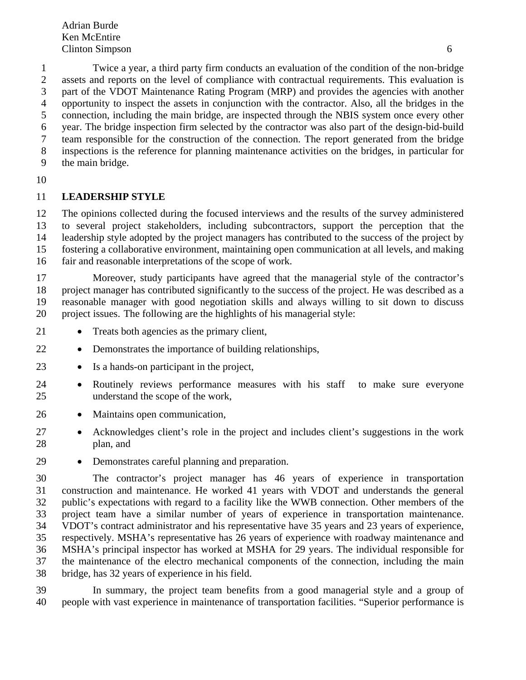1 Twice a year, a third party firm conducts an evaluation of the condition of the non-bridge 2 assets and reports on the level of compliance with contractual requirements. This evaluation is 3 part of the VDOT Maintenance Rating Program (MRP) and provides the agencies with another 4 opportunity to inspect the assets in conjunction with the contractor. Also, all the bridges in the 5 connection, including the main bridge, are inspected through the NBIS system once every other 6 year. The bridge inspection firm selected by the contractor was also part of the design-bid-build 7 team responsible for the construction of the connection. The report generated from the bridge 8 inspections is the reference for planning maintenance activities on the bridges, in particular for 9 the main bridge.

10

### 11 **LEADERSHIP STYLE**

12 The opinions collected during the focused interviews and the results of the survey administered 13 to several project stakeholders, including subcontractors, support the perception that the 14 leadership style adopted by the project managers has contributed to the success of the project by 15 fostering a collaborative environment, maintaining open communication at all levels, and making 16 fair and reasonable interpretations of the scope of work.

17 Moreover, study participants have agreed that the managerial style of the contractor's 18 project manager has contributed significantly to the success of the project. He was described as a 19 reasonable manager with good negotiation skills and always willing to sit down to discuss 20 project issues. The following are the highlights of his managerial style:

- 21 Treats both agencies as the primary client,
- 22 Demonstrates the importance of building relationships,
- 23 Is a hands-on participant in the project,
- 24 Routinely reviews performance measures with his staff to make sure everyone 25 understand the scope of the work,
- 26 Maintains open communication,
- 27 Acknowledges client's role in the project and includes client's suggestions in the work 28 plan, and
- 29 Demonstrates careful planning and preparation.

30 The contractor's project manager has 46 years of experience in transportation 31 construction and maintenance. He worked 41 years with VDOT and understands the general 32 public's expectations with regard to a facility like the WWB connection. Other members of the 33 project team have a similar number of years of experience in transportation maintenance. 34 VDOT's contract administrator and his representative have 35 years and 23 years of experience, 35 respectively. MSHA's representative has 26 years of experience with roadway maintenance and 36 MSHA's principal inspector has worked at MSHA for 29 years. The individual responsible for 37 the maintenance of the electro mechanical components of the connection, including the main 38 bridge, has 32 years of experience in his field.

39 In summary, the project team benefits from a good managerial style and a group of 40 people with vast experience in maintenance of transportation facilities. "Superior performance is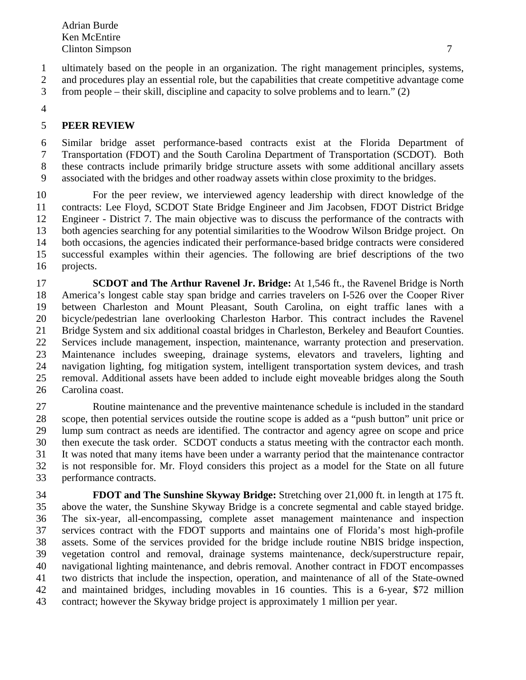1 ultimately based on the people in an organization. The right management principles, systems,

2 and procedures play an essential role, but the capabilities that create competitive advantage come

3 from people – their skill, discipline and capacity to solve problems and to learn." (2)

4

# 5 **PEER REVIEW**

6 Similar bridge asset performance-based contracts exist at the Florida Department of 7 Transportation (FDOT) and the South Carolina Department of Transportation (SCDOT). Both 8 these contracts include primarily bridge structure assets with some additional ancillary assets 9 associated with the bridges and other roadway assets within close proximity to the bridges.

10 For the peer review, we interviewed agency leadership with direct knowledge of the 11 contracts: Lee Floyd, SCDOT State Bridge Engineer and Jim Jacobsen, FDOT District Bridge 12 Engineer - District 7. The main objective was to discuss the performance of the contracts with 13 both agencies searching for any potential similarities to the Woodrow Wilson Bridge project. On 14 both occasions, the agencies indicated their performance-based bridge contracts were considered 15 successful examples within their agencies. The following are brief descriptions of the two 16 projects.

17 **SCDOT and The Arthur Ravenel Jr. Bridge:** At 1,546 ft., the Ravenel Bridge is North 18 America's longest cable stay span bridge and carries travelers on I-526 over the Cooper River 19 between Charleston and Mount Pleasant, South Carolina, on eight traffic lanes with a 20 bicycle/pedestrian lane overlooking Charleston Harbor. This contract includes the Ravenel 21 Bridge System and six additional coastal bridges in Charleston, Berkeley and Beaufort Counties. 22 Services include management, inspection, maintenance, warranty protection and preservation. 23 Maintenance includes sweeping, drainage systems, elevators and travelers, lighting and 24 navigation lighting, fog mitigation system, intelligent transportation system devices, and trash 25 removal. Additional assets have been added to include eight moveable bridges along the South 26 Carolina coast.

27 Routine maintenance and the preventive maintenance schedule is included in the standard 28 scope, then potential services outside the routine scope is added as a "push button" unit price or 29 lump sum contract as needs are identified. The contractor and agency agree on scope and price 30 then execute the task order. SCDOT conducts a status meeting with the contractor each month. 31 It was noted that many items have been under a warranty period that the maintenance contractor 32 is not responsible for. Mr. Floyd considers this project as a model for the State on all future 33 performance contracts.

34 **FDOT and The Sunshine Skyway Bridge:** Stretching over 21,000 ft. in length at 175 ft. 35 above the water, the Sunshine Skyway Bridge is a concrete segmental and cable stayed bridge. 36 The six-year, all-encompassing, complete asset management maintenance and inspection 37 services contract with the FDOT supports and maintains one of Florida's most high-profile 38 assets. Some of the services provided for the bridge include routine NBIS bridge inspection, 39 vegetation control and removal, drainage systems maintenance, deck/superstructure repair, 40 navigational lighting maintenance, and debris removal. Another contract in FDOT encompasses 41 two districts that include the inspection, operation, and maintenance of all of the State-owned 42 and maintained bridges, including movables in 16 counties. This is a 6-year, \$72 million 43 contract; however the Skyway bridge project is approximately 1 million per year.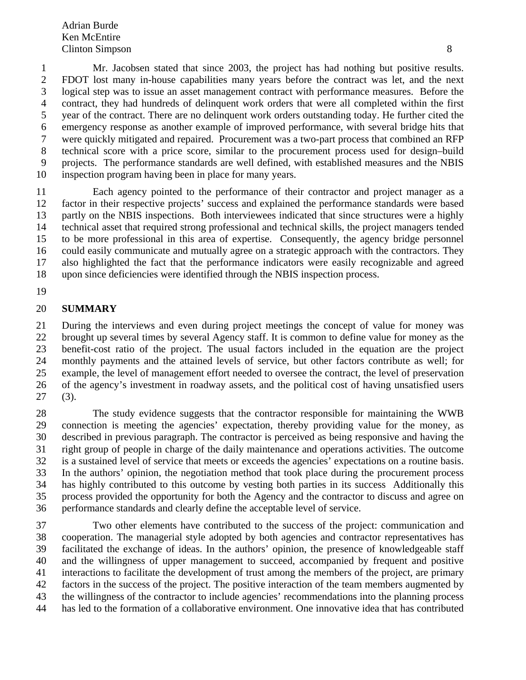1 Mr. Jacobsen stated that since 2003, the project has had nothing but positive results. 2 FDOT lost many in-house capabilities many years before the contract was let, and the next 3 logical step was to issue an asset management contract with performance measures. Before the 4 contract, they had hundreds of delinquent work orders that were all completed within the first 5 year of the contract. There are no delinquent work orders outstanding today. He further cited the 6 emergency response as another example of improved performance, with several bridge hits that 7 were quickly mitigated and repaired. Procurement was a two-part process that combined an RFP 8 technical score with a price score, similar to the procurement process used for design–build 9 projects. The performance standards are well defined, with established measures and the NBIS 10 inspection program having been in place for many years.

11 Each agency pointed to the performance of their contractor and project manager as a 12 factor in their respective projects' success and explained the performance standards were based 13 partly on the NBIS inspections. Both interviewees indicated that since structures were a highly 14 technical asset that required strong professional and technical skills, the project managers tended 15 to be more professional in this area of expertise. Consequently, the agency bridge personnel 16 could easily communicate and mutually agree on a strategic approach with the contractors. They 17 also highlighted the fact that the performance indicators were easily recognizable and agreed 18 upon since deficiencies were identified through the NBIS inspection process.

19

### 20 **SUMMARY**

21 During the interviews and even during project meetings the concept of value for money was 22 brought up several times by several Agency staff. It is common to define value for money as the 23 benefit-cost ratio of the project. The usual factors included in the equation are the project 24 monthly payments and the attained levels of service, but other factors contribute as well; for 25 example, the level of management effort needed to oversee the contract, the level of preservation 26 of the agency's investment in roadway assets, and the political cost of having unsatisfied users 27 (3).

28 The study evidence suggests that the contractor responsible for maintaining the WWB 29 connection is meeting the agencies' expectation, thereby providing value for the money, as 30 described in previous paragraph. The contractor is perceived as being responsive and having the 31 right group of people in charge of the daily maintenance and operations activities. The outcome 32 is a sustained level of service that meets or exceeds the agencies' expectations on a routine basis. 33 In the authors' opinion, the negotiation method that took place during the procurement process 34 has highly contributed to this outcome by vesting both parties in its success Additionally this 35 process provided the opportunity for both the Agency and the contractor to discuss and agree on 36 performance standards and clearly define the acceptable level of service.

37 Two other elements have contributed to the success of the project: communication and 38 cooperation. The managerial style adopted by both agencies and contractor representatives has 39 facilitated the exchange of ideas. In the authors' opinion, the presence of knowledgeable staff 40 and the willingness of upper management to succeed, accompanied by frequent and positive 41 interactions to facilitate the development of trust among the members of the project, are primary 42 factors in the success of the project. The positive interaction of the team members augmented by 43 the willingness of the contractor to include agencies' recommendations into the planning process 44 has led to the formation of a collaborative environment. One innovative idea that has contributed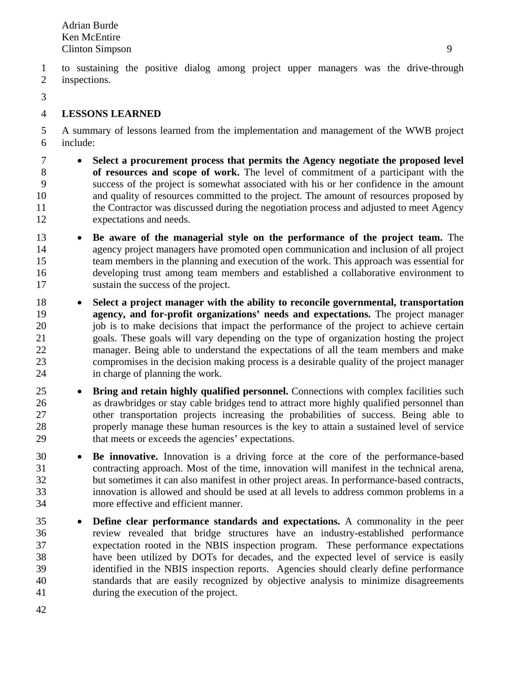1 to sustaining the positive dialog among project upper managers was the drive-through 2 inspections.

3

# 4 **LESSONS LEARNED**

5 A summary of lessons learned from the implementation and management of the WWB project 6 include:

- 7 **Select a procurement process that permits the Agency negotiate the proposed level**  8 **of resources and scope of work.** The level of commitment of a participant with the 9 success of the project is somewhat associated with his or her confidence in the amount 10 and quality of resources committed to the project. The amount of resources proposed by 11 the Contractor was discussed during the negotiation process and adjusted to meet Agency 12 expectations and needs.
- 13 **Be aware of the managerial style on the performance of the project team.** The 14 agency project managers have promoted open communication and inclusion of all project 15 team members in the planning and execution of the work. This approach was essential for 16 developing trust among team members and established a collaborative environment to 17 sustain the success of the project.
- 18 **Select a project manager with the ability to reconcile governmental, transportation**  19 **agency, and for-profit organizations' needs and expectations.** The project manager 20 job is to make decisions that impact the performance of the project to achieve certain 21 goals. These goals will vary depending on the type of organization hosting the project 22 manager. Being able to understand the expectations of all the team members and make 23 compromises in the decision making process is a desirable quality of the project manager 24 in charge of planning the work.
- 25  **Bring and retain highly qualified personnel.** Connections with complex facilities such 26 as drawbridges or stay cable bridges tend to attract more highly qualified personnel than 27 other transportation projects increasing the probabilities of success. Being able to 28 properly manage these human resources is the key to attain a sustained level of service 29 that meets or exceeds the agencies' expectations.
- 30 **Be innovative.** Innovation is a driving force at the core of the performance-based 31 contracting approach. Most of the time, innovation will manifest in the technical arena, 32 but sometimes it can also manifest in other project areas. In performance-based contracts, 33 innovation is allowed and should be used at all levels to address common problems in a 34 more effective and efficient manner.
- 35 **Define clear performance standards and expectations.** A commonality in the peer 36 review revealed that bridge structures have an industry-established performance 37 expectation rooted in the NBIS inspection program. These performance expectations 38 have been utilized by DOTs for decades, and the expected level of service is easily 39 identified in the NBIS inspection reports. Agencies should clearly define performance 40 standards that are easily recognized by objective analysis to minimize disagreements 41 during the execution of the project.
- 42